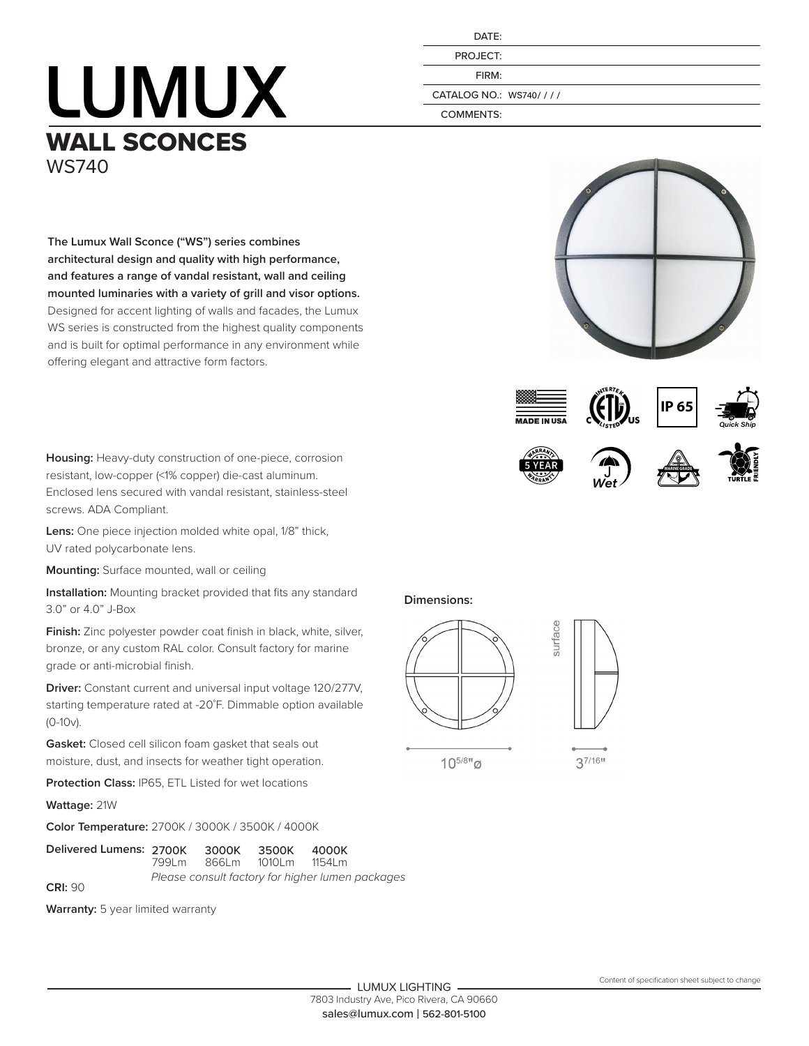## **LUMUX** WALL SCONCES WS740

**The Lumux Wall Sconce ("WS") series combines** 

offering elegant and attractive form factors.

**architectural design and quality with high performance, and features a range of vandal resistant, wall and ceiling mounted luminaries with a variety of grill and visor options.**  Designed for accent lighting of walls and facades, the Lumux WS series is constructed from the highest quality components and is built for optimal performance in any environment while

| DATF:           |  |
|-----------------|--|
| <b>PROJECT:</b> |  |
| FIRM:           |  |
|                 |  |

CATALOG NO.: WS740/ / / /

COMMENTS:







surface





resistant, low-copper (<1% copper) die-cast aluminum. Enclosed lens secured with vandal resistant, stainless-steel screws. ADA Compliant.

**Housing:** Heavy-duty construction of one-piece, corrosion

**Lens:** One piece injection molded white opal, 1/8" thick, UV rated polycarbonate lens.

**Mounting:** Surface mounted, wall or ceiling

**Installation:** Mounting bracket provided that fits any standard 3.0" or 4.0" J-Box

**Finish:** Zinc polyester powder coat finish in black, white, silver, bronze, or any custom RAL color. Consult factory for marine grade or anti-microbial finish.

**Driver:** Constant current and universal input voltage 120/277V, starting temperature rated at -20˚F. Dimmable option available (0-10v).

**Gasket:** Closed cell silicon foam gasket that seals out moisture, dust, and insects for weather tight operation.

**Protection Class:** IP65, ETL Listed for wet locations

**Wattage:** 21W

**Color Temperature:** 2700K / 3000K / 3500K / 4000K

| Delivered Lumens: 2700K 3000K | 799Lm 866Lm |                                                  | 3500K<br>1010Lm | 4000K<br>1154Lm |
|-------------------------------|-------------|--------------------------------------------------|-----------------|-----------------|
| CRI: 90                       |             | Please consult factory for higher lumen packages |                 |                 |

**Warranty:** 5 year limited warranty

## **Dimensions:**



 $10^{5/81}$ <sub>Ø</sub>

37/16"